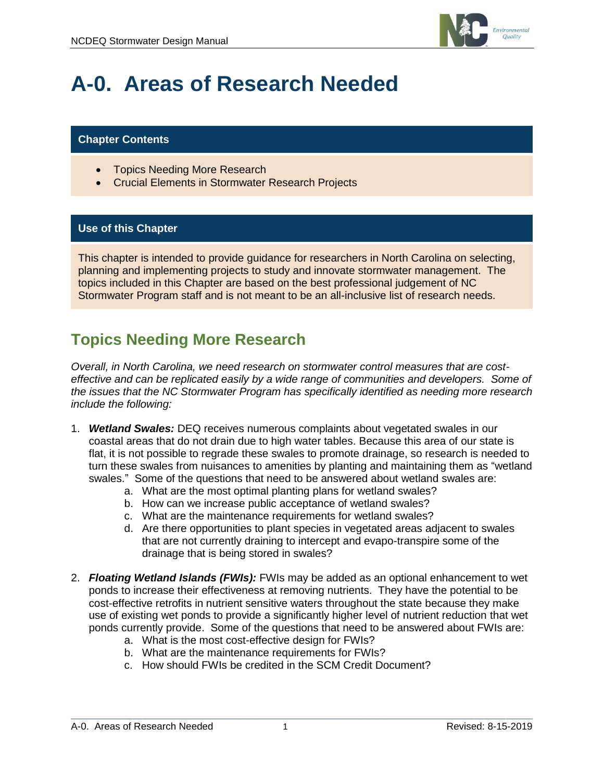

# **A-0. Areas of Research Needed**

#### **Chapter Contents**

- Topics Needing More Research
- Crucial Elements in Stormwater Research Projects

#### **Use of this Chapter**

This chapter is intended to provide guidance for researchers in North Carolina on selecting, planning and implementing projects to study and innovate stormwater management. The topics included in this Chapter are based on the best professional judgement of NC Stormwater Program staff and is not meant to be an all-inclusive list of research needs.

### **Topics Needing More Research**

*Overall, in North Carolina, we need research on stormwater control measures that are costeffective and can be replicated easily by a wide range of communities and developers. Some of the issues that the NC Stormwater Program has specifically identified as needing more research include the following:*

- 1. *Wetland Swales:* DEQ receives numerous complaints about vegetated swales in our coastal areas that do not drain due to high water tables. Because this area of our state is flat, it is not possible to regrade these swales to promote drainage, so research is needed to turn these swales from nuisances to amenities by planting and maintaining them as "wetland swales." Some of the questions that need to be answered about wetland swales are:
	- a. What are the most optimal planting plans for wetland swales?
	- b. How can we increase public acceptance of wetland swales?
	- c. What are the maintenance requirements for wetland swales?
	- d. Are there opportunities to plant species in vegetated areas adjacent to swales that are not currently draining to intercept and evapo-transpire some of the drainage that is being stored in swales?
- 2. *Floating Wetland Islands (FWIs):* FWIs may be added as an optional enhancement to wet ponds to increase their effectiveness at removing nutrients. They have the potential to be cost-effective retrofits in nutrient sensitive waters throughout the state because they make use of existing wet ponds to provide a significantly higher level of nutrient reduction that wet ponds currently provide. Some of the questions that need to be answered about FWIs are:
	- a. What is the most cost-effective design for FWIs?
	- b. What are the maintenance requirements for FWIs?
	- c. How should FWIs be credited in the SCM Credit Document?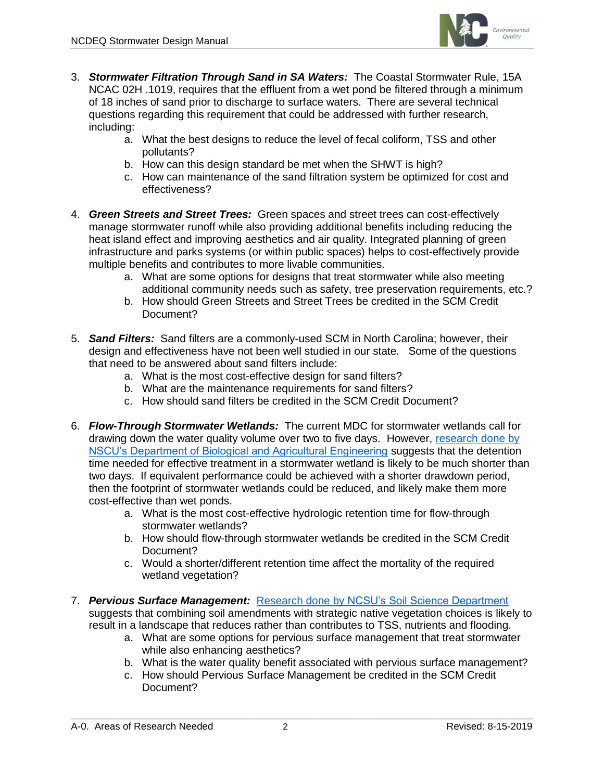

- 3. *Stormwater Filtration Through Sand in SA Waters:* The Coastal Stormwater Rule, 15A NCAC 02H .1019, requires that the effluent from a wet pond be filtered through a minimum of 18 inches of sand prior to discharge to surface waters. There are several technical questions regarding this requirement that could be addressed with further research, including:
	- a. What the best designs to reduce the level of fecal coliform, TSS and other pollutants?
	- b. How can this design standard be met when the SHWT is high?
	- c. How can maintenance of the sand filtration system be optimized for cost and effectiveness?
- 4. *Green Streets and Street Trees:* Green spaces and street trees can cost-effectively manage stormwater runoff while also providing additional benefits including reducing the heat island effect and improving aesthetics and air quality. Integrated planning of green infrastructure and parks systems (or within public spaces) helps to cost-effectively provide multiple benefits and contributes to more livable communities.
	- a. What are some options for designs that treat stormwater while also meeting additional community needs such as safety, tree preservation requirements, etc.?
	- b. How should Green Streets and Street Trees be credited in the SCM Credit Document?
- 5. *Sand Filters:* Sand filters are a commonly-used SCM in North Carolina; however, their design and effectiveness have not been well studied in our state. Some of the questions that need to be answered about sand filters include:
	- a. What is the most cost-effective design for sand filters?
	- b. What are the maintenance requirements for sand filters?
	- c. How should sand filters be credited in the SCM Credit Document?
- 6. *Flow-Through Stormwater Wetlands:* The current MDC for stormwater wetlands call for drawing down the water quality volume over two to five days. However, [research done by](https://www.researchgate.net/publication/319639183_Adapting_the_Relaxed_Tanks-in-Series_Model_for_Stormwater_Wetland_Water_Quality_Performance)  [NSCU's Department of Biological and Agricultural Engineering](https://www.researchgate.net/publication/319639183_Adapting_the_Relaxed_Tanks-in-Series_Model_for_Stormwater_Wetland_Water_Quality_Performance) suggests that the detention time needed for effective treatment in a stormwater wetland is likely to be much shorter than two days. If equivalent performance could be achieved with a shorter drawdown period, then the footprint of stormwater wetlands could be reduced, and likely make them more cost-effective than wet ponds.
	- a. What is the most cost-effective hydrologic retention time for flow-through stormwater wetlands?
	- b. How should flow-through stormwater wetlands be credited in the SCM Credit Document?
	- c. Would a shorter/different retention time affect the mortality of the required wetland vegetation?
- 7. *Pervious Surface Management:* Research done by [NCSU's Soil Science Department](https://repository.lib.ncsu.edu/bitstream/handle/1840.16/7904/etd.pdf?sequence=1&isAllowed=y) suggests that combining soil amendments with strategic native vegetation choices is likely to result in a landscape that reduces rather than contributes to TSS, nutrients and flooding.
	- a. What are some options for pervious surface management that treat stormwater while also enhancing aesthetics?
	- b. What is the water quality benefit associated with pervious surface management?
	- c. How should Pervious Surface Management be credited in the SCM Credit Document?